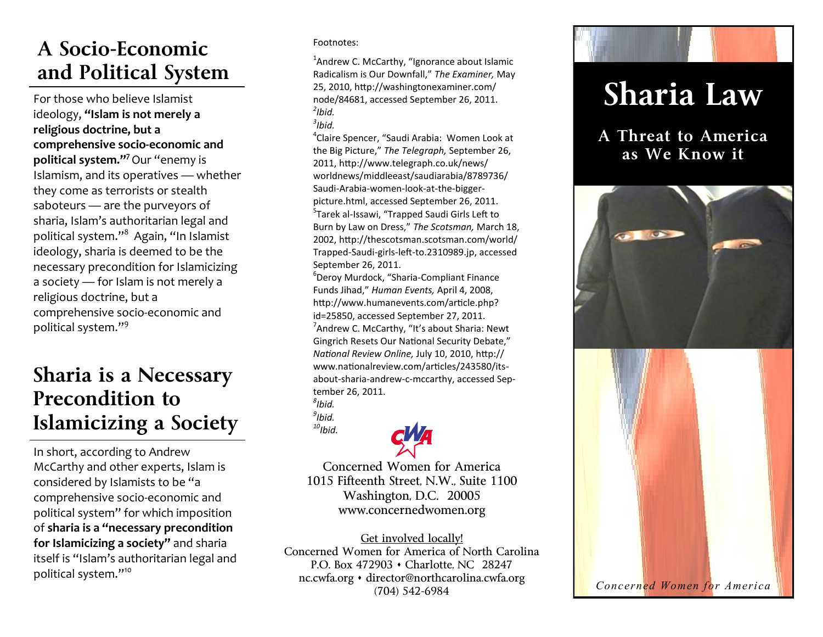### **A Socio-Economic and Political System**

For those who believe Islamist ideology, **"Islam is not merely a religious doctrine, but a comprehensive socio-economic and political system."<sup>7</sup>**Our "enemy is Islamism, and its operatives — whether they come as terrorists or stealth saboteurs — are the purveyors of sharia, Islam's authoritarian legal and political system."<sup>8</sup> Again, "In Islamist ideology, sharia is deemed to be the necessary precondition for Islamicizing a society — for Islam is not merely a religious doctrine, but a comprehensive socio-economic and political system."<sup>9</sup>

#### **Sharia is a Necessary Precondition to Islamicizing a Society**

In short, according to Andrew McCarthy and other experts, Islam is considered by Islamists to be "a comprehensive socio-economic and political system" for which imposition of **sharia is a "necessary precondition for Islamicizing a society"** and sharia itself is "Islam's authoritarian legal and political system."<sup>10</sup>

Footnotes:

<sup>1</sup>Andrew C. McCarthy, "Ignorance about Islamic Radicalism is Our Downfall," *The Examiner,* May 25, 2010, [http://washingtonexaminer.com/](http://washingtonexaminer.com/node/84681) [node/84681,](http://washingtonexaminer.com/node/84681) accessed September 26, 2011. *2 Ibid.*

*3 Ibid.*

4 Claire Spencer, "Saudi Arabia: Women Look at the Big Picture," *The Telegraph,* September 26, 2011, [http://www.telegraph.co.uk/news/](http://www.telegraph.co.uk/news/worldnews/middleeast/saudiarabia/8789736/Saudi-Arabia-women-look-at-the-bigger-picture.html) [worldnews/middleeast/saudiarabia/8789736/](http://www.telegraph.co.uk/news/worldnews/middleeast/saudiarabia/8789736/Saudi-Arabia-women-look-at-the-bigger-picture.html) Saudi-Arabia-[women](http://www.telegraph.co.uk/news/worldnews/middleeast/saudiarabia/8789736/Saudi-Arabia-women-look-at-the-bigger-picture.html)-look-at-the-bigger[picture.html,](http://www.telegraph.co.uk/news/worldnews/middleeast/saudiarabia/8789736/Saudi-Arabia-women-look-at-the-bigger-picture.html) accessed September 26, 2011. 5 Tarek al-Issawi, "Trapped Saudi Girls Left to Burn by Law on Dress," *The Scotsman,* March 18, 2002, [http://thescotsman.scotsman.com/world/](http://thescotsman.scotsman.com/world/Trapped-Saudi-girls-left-to.2310989.jp) Trapped-Saudi-girls-left-[to.2310989.jp,](http://thescotsman.scotsman.com/world/Trapped-Saudi-girls-left-to.2310989.jp) accessed September 26, 2011.

6 Deroy Murdock, "Sharia-Compliant Finance Funds Jihad," *Human Events,* April 4, 2008, [http://www.humanevents.com/article.php?](http://www.humanevents.com/article.php?id=25850) [id=25850,](http://www.humanevents.com/article.php?id=25850) accessed September 27, 2011. <sup>7</sup> Andrew C. McCarthy, "It's about Sharia: Newt Gingrich Resets Our National Security Debate," *National Review Online,* July 10, 2010, [http://](http://www.nationalreview.com/articles/243580/its-about-sharia-andrew-c-mccarthy) [www.nationalreview.com/articles/243580/its](http://www.nationalreview.com/articles/243580/its-about-sharia-andrew-c-mccarthy)about-sharia-andrew-c-[mccarthy,](http://www.nationalreview.com/articles/243580/its-about-sharia-andrew-c-mccarthy) accessed September 26, 2011.

*8 Ibid. 9 Ibid.*

*<sup>10</sup>Ibid.*

Concerned Women for America 1015 Fifteenth Street, N.W., Suite 1100 Washington, D.C. 20005 www.concernedwomen.org

Get involved locally! Concerned Women for America of North Carolina P.O. Box 472903 • Charlotte, NC 28247 nc.cwfa.org · director@northcarolina.cwfa.org (704) 542-6984

# **Sharia Law**

**A Threat to America as We Know it**